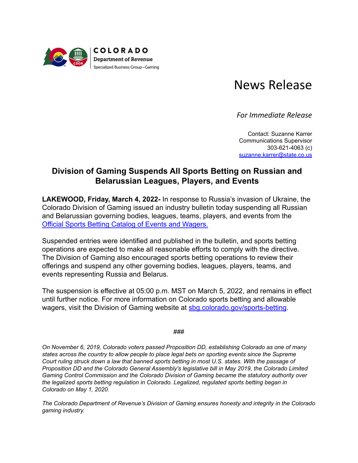

## News Release

*For Immediate Release*

Contact: Suzanne Karrer Communications Supervisor 303-621-4063 (c) [suzanne.karrer@state.co.us](mailto:suzanne.karrer@state.co.us)

## **Division of Gaming Suspends All Sports Betting on Russian and Belarussian Leagues, Players, and Events**

**LAKEWOOD, Friday, March 4, 2022-** In response to Russia's invasion of Ukraine, the Colorado Division of Gaming issued an industry bulletin today suspending all Russian and Belarussian governing bodies, leagues, teams, players, and events from the [Official Sports Betting Catalog of Events and Wagers.](https://sbg.colorado.gov/sports-betting-catalog)

Suspended entries were identified and published in the bulletin, and sports betting operations are expected to make all reasonable efforts to comply with the directive. The Division of Gaming also encouraged sports betting operations to review their offerings and suspend any other governing bodies, leagues, players, teams, and events representing Russia and Belarus.

The suspension is effective at 05:00 p.m. MST on March 5, 2022, and remains in effect until further notice. For more information on Colorado sports betting and allowable wagers, visit the Division of Gaming website at [sbg.colorado.gov/sports-betting](https://sbg.colorado.gov/sports-betting).

## ###

*On November 6, 2019, Colorado voters passed Proposition DD, establishing Colorado as one of many states across the country to allow people to place legal bets on sporting events since the Supreme Court ruling struck down a law that banned sports betting in most U.S. states. With the passage of Proposition DD and the Colorado General Assembly's legislative bill in May 2019, the Colorado Limited Gaming Control Commission and the Colorado Division of Gaming became the statutory authority over the legalized sports betting regulation in Colorado. Legalized, regulated sports betting began in Colorado on May 1, 2020.*

*The Colorado Department of Revenue's Division of Gaming ensures honesty and integrity in the Colorado gaming industry.*